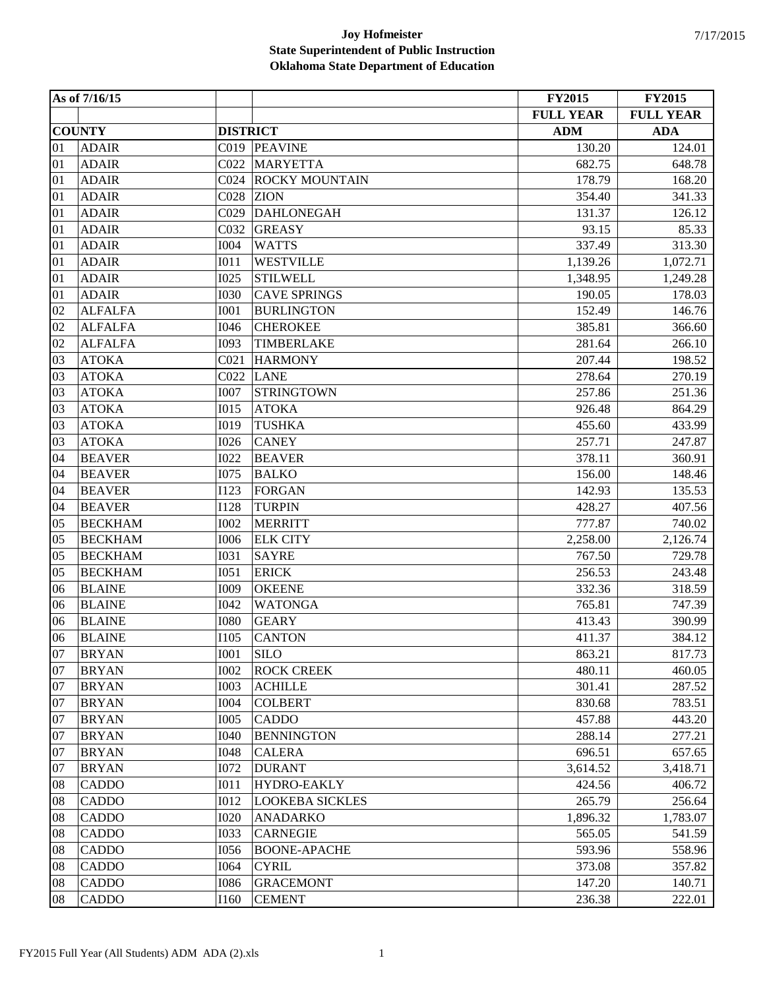|    | As of 7/16/15  |                  |                        | <b>FY2015</b>    | <b>FY2015</b>    |
|----|----------------|------------------|------------------------|------------------|------------------|
|    |                |                  |                        | <b>FULL YEAR</b> | <b>FULL YEAR</b> |
|    | <b>COUNTY</b>  | <b>DISTRICT</b>  |                        | <b>ADM</b>       | <b>ADA</b>       |
| 01 | <b>ADAIR</b>   |                  | C019 PEAVINE           | 130.20           | 124.01           |
| 01 | <b>ADAIR</b>   | C022             | <b>MARYETTA</b>        | 682.75           | 648.78           |
| 01 | <b>ADAIR</b>   | CO <sub>24</sub> | <b>ROCKY MOUNTAIN</b>  | 178.79           | 168.20           |
| 01 | <b>ADAIR</b>   | C028             | <b>ZION</b>            | 354.40           | 341.33           |
| 01 | <b>ADAIR</b>   | C029             | <b>DAHLONEGAH</b>      | 131.37           | 126.12           |
| 01 | <b>ADAIR</b>   | C032             | <b>GREASY</b>          | 93.15            | 85.33            |
| 01 | <b>ADAIR</b>   | <b>I004</b>      | <b>WATTS</b>           | 337.49           | 313.30           |
| 01 | <b>ADAIR</b>   | I011             | <b>WESTVILLE</b>       | 1,139.26         | 1,072.71         |
| 01 | <b>ADAIR</b>   | <b>I025</b>      | <b>STILWELL</b>        | 1,348.95         | 1,249.28         |
| 01 | <b>ADAIR</b>   | <b>I030</b>      | <b>CAVE SPRINGS</b>    | 190.05           | 178.03           |
| 02 | <b>ALFALFA</b> | <b>I001</b>      | <b>BURLINGTON</b>      | 152.49           | 146.76           |
| 02 | <b>ALFALFA</b> | <b>I046</b>      | <b>CHEROKEE</b>        | 385.81           | 366.60           |
| 02 | <b>ALFALFA</b> | <b>I093</b>      | TIMBERLAKE             | 281.64           | 266.10           |
| 03 | <b>ATOKA</b>   | CO <sub>21</sub> | <b>HARMONY</b>         | 207.44           | 198.52           |
| 03 | <b>ATOKA</b>   | C022             | <b>LANE</b>            | 278.64           | 270.19           |
| 03 | <b>ATOKA</b>   | <b>I007</b>      | <b>STRINGTOWN</b>      | 257.86           | 251.36           |
| 03 | <b>ATOKA</b>   | <b>I015</b>      | <b>ATOKA</b>           | 926.48           | 864.29           |
| 03 | <b>ATOKA</b>   | <b>I019</b>      | <b>TUSHKA</b>          | 455.60           | 433.99           |
| 03 | <b>ATOKA</b>   | <b>I026</b>      | <b>CANEY</b>           | 257.71           | 247.87           |
| 04 | <b>BEAVER</b>  | <b>I022</b>      | <b>BEAVER</b>          | 378.11           | 360.91           |
| 04 | <b>BEAVER</b>  | <b>I075</b>      | <b>BALKO</b>           | 156.00           | 148.46           |
| 04 | <b>BEAVER</b>  | <b>I123</b>      | <b>FORGAN</b>          | 142.93           | 135.53           |
| 04 | <b>BEAVER</b>  | <b>I128</b>      | <b>TURPIN</b>          | 428.27           | 407.56           |
| 05 | <b>BECKHAM</b> | <b>I002</b>      | <b>MERRITT</b>         | 777.87           | 740.02           |
| 05 | <b>BECKHAM</b> | <b>I006</b>      | <b>ELK CITY</b>        | 2,258.00         | 2,126.74         |
| 05 | <b>BECKHAM</b> | <b>I031</b>      | <b>SAYRE</b>           | 767.50           | 729.78           |
| 05 | <b>BECKHAM</b> | I051             | <b>ERICK</b>           | 256.53           | 243.48           |
| 06 | <b>BLAINE</b>  | <b>I009</b>      | <b>OKEENE</b>          | 332.36           | 318.59           |
| 06 | <b>BLAINE</b>  | <b>I042</b>      | <b>WATONGA</b>         | 765.81           | 747.39           |
| 06 | <b>BLAINE</b>  | <b>I080</b>      | <b>GEARY</b>           | 413.43           | 390.99           |
| 06 | <b>BLAINE</b>  | I105             | <b>CANTON</b>          | 411.37           | 384.12           |
| 07 | <b>BRYAN</b>   | <b>I001</b>      | <b>SILO</b>            | 863.21           | 817.73           |
| 07 | <b>BRYAN</b>   | <b>I002</b>      | <b>ROCK CREEK</b>      | 480.11           | 460.05           |
| 07 | <b>BRYAN</b>   | <b>I003</b>      | <b>ACHILLE</b>         | 301.41           | 287.52           |
| 07 | <b>BRYAN</b>   | <b>I004</b>      | <b>COLBERT</b>         | 830.68           | 783.51           |
| 07 | <b>BRYAN</b>   | <b>I005</b>      | <b>CADDO</b>           | 457.88           | 443.20           |
| 07 | <b>BRYAN</b>   | <b>I040</b>      | <b>BENNINGTON</b>      | 288.14           | 277.21           |
| 07 | <b>BRYAN</b>   | <b>I048</b>      | <b>CALERA</b>          | 696.51           | 657.65           |
| 07 | <b>BRYAN</b>   | <b>I072</b>      | <b>DURANT</b>          | 3,614.52         | 3,418.71         |
| 08 | <b>CADDO</b>   | I011             | <b>HYDRO-EAKLY</b>     | 424.56           | 406.72           |
| 08 | <b>CADDO</b>   | <b>I012</b>      | <b>LOOKEBA SICKLES</b> | 265.79           | 256.64           |
| 08 | <b>CADDO</b>   | <b>I020</b>      | <b>ANADARKO</b>        | 1,896.32         | 1,783.07         |
| 08 | <b>CADDO</b>   | <b>I033</b>      | <b>CARNEGIE</b>        | 565.05           | 541.59           |
| 08 | <b>CADDO</b>   | <b>I056</b>      | <b>BOONE-APACHE</b>    | 593.96           | 558.96           |
| 08 | <b>CADDO</b>   | I064             | <b>CYRIL</b>           | 373.08           | 357.82           |
| 08 | <b>CADDO</b>   | <b>I086</b>      | <b>GRACEMONT</b>       | 147.20           | 140.71           |
| 08 | <b>CADDO</b>   | I160             | <b>CEMENT</b>          | 236.38           | 222.01           |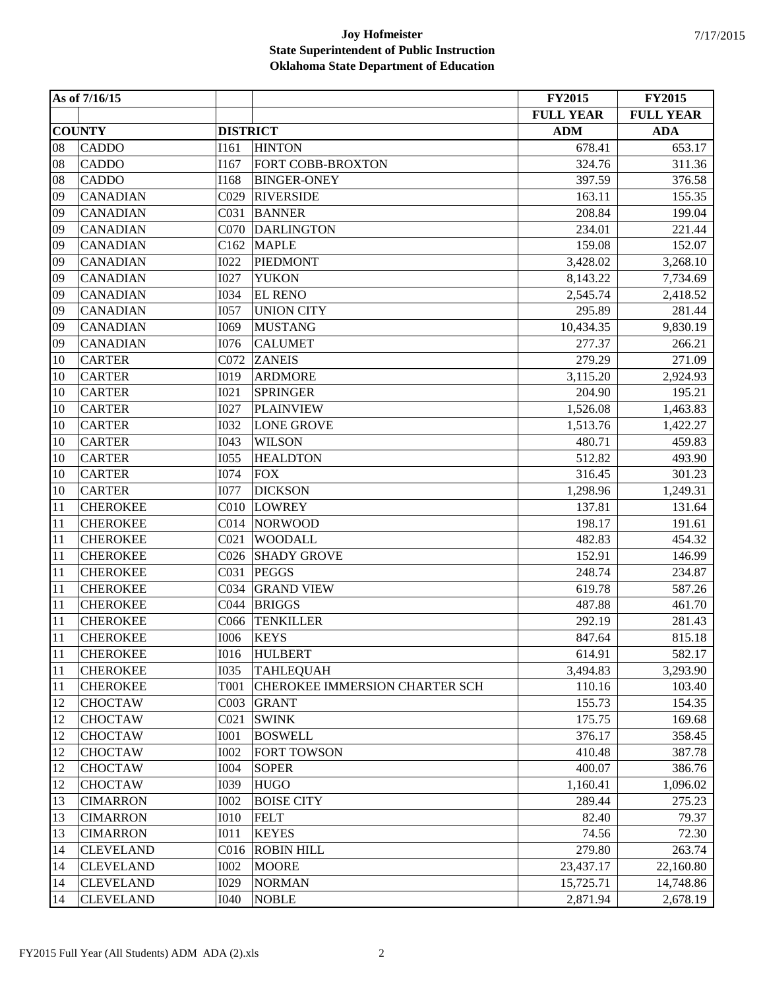|    | As of 7/16/15    |                  |                                | <b>FY2015</b>    | <b>FY2015</b>    |
|----|------------------|------------------|--------------------------------|------------------|------------------|
|    |                  |                  |                                | <b>FULL YEAR</b> | <b>FULL YEAR</b> |
|    | <b>COUNTY</b>    | <b>DISTRICT</b>  |                                | <b>ADM</b>       | <b>ADA</b>       |
| 08 | <b>CADDO</b>     | I161             | <b>HINTON</b>                  | 678.41           | 653.17           |
| 08 | <b>CADDO</b>     | I167             | FORT COBB-BROXTON              | 324.76           | 311.36           |
| 08 | <b>CADDO</b>     | I168             | <b>BINGER-ONEY</b>             | 397.59           | 376.58           |
| 09 | <b>CANADIAN</b>  | C029             | <b>RIVERSIDE</b>               | 163.11           | 155.35           |
| 09 | <b>CANADIAN</b>  | C031             | <b>BANNER</b>                  | 208.84           | 199.04           |
| 09 | <b>CANADIAN</b>  | C070             | <b>DARLINGTON</b>              | 234.01           | 221.44           |
| 09 | <b>CANADIAN</b>  | C162             | <b>MAPLE</b>                   | 159.08           | 152.07           |
| 09 | <b>CANADIAN</b>  | <b>I022</b>      | <b>PIEDMONT</b>                | 3,428.02         | 3,268.10         |
| 09 | <b>CANADIAN</b>  | <b>I027</b>      | <b>YUKON</b>                   | 8,143.22         | 7,734.69         |
| 09 | <b>CANADIAN</b>  | <b>I034</b>      | <b>EL RENO</b>                 | 2,545.74         | 2,418.52         |
| 09 | <b>CANADIAN</b>  | I057             | <b>UNION CITY</b>              | 295.89           | 281.44           |
| 09 | <b>CANADIAN</b>  | I069             | <b>MUSTANG</b>                 | 10,434.35        | 9,830.19         |
| 09 | <b>CANADIAN</b>  | <b>I076</b>      | <b>CALUMET</b>                 | 277.37           | 266.21           |
| 10 | <b>CARTER</b>    | C072             | <b>ZANEIS</b>                  | 279.29           | 271.09           |
| 10 | <b>CARTER</b>    | <b>I019</b>      | <b>ARDMORE</b>                 | 3,115.20         | 2,924.93         |
| 10 | <b>CARTER</b>    | <b>I021</b>      | <b>SPRINGER</b>                | 204.90           | 195.21           |
| 10 | <b>CARTER</b>    | <b>I027</b>      | <b>PLAINVIEW</b>               | 1,526.08         | 1,463.83         |
| 10 | <b>CARTER</b>    | <b>I032</b>      | <b>LONE GROVE</b>              | 1,513.76         | 1,422.27         |
| 10 | <b>CARTER</b>    | I043             | <b>WILSON</b>                  | 480.71           | 459.83           |
| 10 | <b>CARTER</b>    | <b>I055</b>      | <b>HEALDTON</b>                | 512.82           | 493.90           |
| 10 | <b>CARTER</b>    | <b>I074</b>      | <b>FOX</b>                     | 316.45           | 301.23           |
| 10 | <b>CARTER</b>    | <b>I077</b>      | <b>DICKSON</b>                 | 1,298.96         | 1,249.31         |
| 11 | <b>CHEROKEE</b>  | C <sub>010</sub> | <b>LOWREY</b>                  | 137.81           | 131.64           |
| 11 | <b>CHEROKEE</b>  | CO14             | <b>NORWOOD</b>                 | 198.17           | 191.61           |
| 11 | <b>CHEROKEE</b>  | CO <sub>21</sub> | <b>WOODALL</b>                 | 482.83           | 454.32           |
| 11 | <b>CHEROKEE</b>  | C <sub>026</sub> | <b>SHADY GROVE</b>             | 152.91           | 146.99           |
| 11 | <b>CHEROKEE</b>  | C031             | <b>PEGGS</b>                   | 248.74           | 234.87           |
| 11 | <b>CHEROKEE</b>  | C034             | <b>GRAND VIEW</b>              | 619.78           | 587.26           |
| 11 | <b>CHEROKEE</b>  | C044             | <b>BRIGGS</b>                  | 487.88           | 461.70           |
| 11 | <b>CHEROKEE</b>  | C066             | <b>TENKILLER</b>               | 292.19           | 281.43           |
| 11 | <b>CHEROKEE</b>  | <b>I006</b>      | <b>KEYS</b>                    | 847.64           | 815.18           |
| 11 | <b>CHEROKEE</b>  | <b>I016</b>      | <b>HULBERT</b>                 | 614.91           | 582.17           |
| 11 | <b>CHEROKEE</b>  | <b>I035</b>      | <b>TAHLEQUAH</b>               | 3,494.83         | 3,293.90         |
| 11 | <b>CHEROKEE</b>  | T001             | CHEROKEE IMMERSION CHARTER SCH | 110.16           | 103.40           |
| 12 | <b>CHOCTAW</b>   | CO <sub>03</sub> | <b>GRANT</b>                   | 155.73           | 154.35           |
| 12 | <b>CHOCTAW</b>   | CO <sub>21</sub> | <b>SWINK</b>                   | 175.75           | 169.68           |
| 12 | <b>CHOCTAW</b>   | <b>I001</b>      | <b>BOSWELL</b>                 | 376.17           | 358.45           |
| 12 | <b>CHOCTAW</b>   | <b>I002</b>      | <b>FORT TOWSON</b>             | 410.48           | 387.78           |
| 12 | <b>CHOCTAW</b>   | <b>I004</b>      | <b>SOPER</b>                   | 400.07           | 386.76           |
| 12 | <b>CHOCTAW</b>   | <b>I039</b>      | <b>HUGO</b>                    | 1,160.41         | 1,096.02         |
| 13 | <b>CIMARRON</b>  | <b>I002</b>      | <b>BOISE CITY</b>              | 289.44           | 275.23           |
| 13 | <b>CIMARRON</b>  | <b>I010</b>      | <b>FELT</b>                    | 82.40            | 79.37            |
| 13 | <b>CIMARRON</b>  | I011             | <b>KEYES</b>                   | 74.56            | 72.30            |
| 14 | <b>CLEVELAND</b> | C <sub>016</sub> | <b>ROBIN HILL</b>              | 279.80           | 263.74           |
| 14 | <b>CLEVELAND</b> | <b>I002</b>      | <b>MOORE</b>                   | 23,437.17        | 22,160.80        |
| 14 | <b>CLEVELAND</b> | I029             | <b>NORMAN</b>                  | 15,725.71        | 14,748.86        |
| 14 | <b>CLEVELAND</b> | <b>I040</b>      | <b>NOBLE</b>                   | 2,871.94         | 2,678.19         |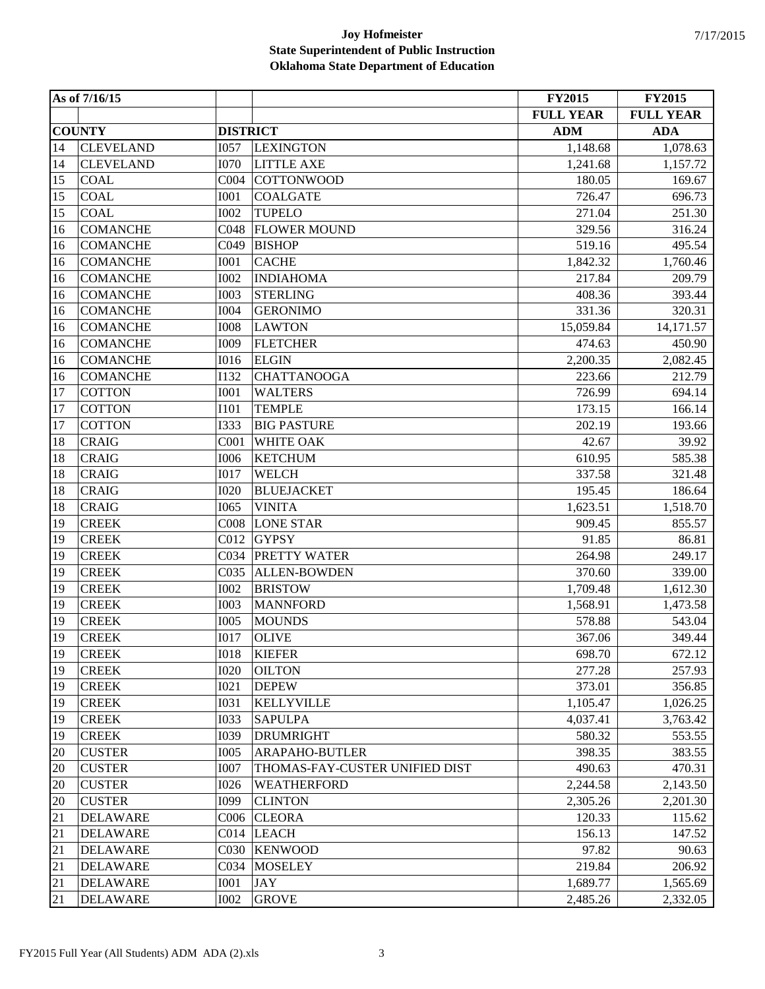|    | As of 7/16/15    |                   |                                | <b>FY2015</b>    | <b>FY2015</b>    |
|----|------------------|-------------------|--------------------------------|------------------|------------------|
|    |                  |                   |                                | <b>FULL YEAR</b> | <b>FULL YEAR</b> |
|    | <b>COUNTY</b>    | <b>DISTRICT</b>   |                                | <b>ADM</b>       | <b>ADA</b>       |
| 14 | <b>CLEVELAND</b> | <b>I057</b>       | <b>LEXINGTON</b>               | 1,148.68         | 1,078.63         |
| 14 | <b>CLEVELAND</b> | <b>I070</b>       | <b>LITTLE AXE</b>              | 1,241.68         | 1,157.72         |
| 15 | <b>COAL</b>      | C <sub>0</sub> 04 | <b>COTTONWOOD</b>              | 180.05           | 169.67           |
| 15 | <b>COAL</b>      | <b>I001</b>       | <b>COALGATE</b>                | 726.47           | 696.73           |
| 15 | <b>COAL</b>      | <b>I002</b>       | <b>TUPELO</b>                  | 271.04           | 251.30           |
| 16 | <b>COMANCHE</b>  | C048              | <b>FLOWER MOUND</b>            | 329.56           | 316.24           |
| 16 | <b>COMANCHE</b>  | C049              | <b>BISHOP</b>                  | 519.16           | 495.54           |
| 16 | <b>COMANCHE</b>  | <b>I001</b>       | <b>CACHE</b>                   | 1,842.32         | 1,760.46         |
| 16 | <b>COMANCHE</b>  | <b>I002</b>       | <b>INDIAHOMA</b>               | 217.84           | 209.79           |
| 16 | <b>COMANCHE</b>  | <b>I003</b>       | <b>STERLING</b>                | 408.36           | 393.44           |
| 16 | <b>COMANCHE</b>  | <b>I004</b>       | <b>GERONIMO</b>                | 331.36           | 320.31           |
| 16 | <b>COMANCHE</b>  | <b>I008</b>       | <b>LAWTON</b>                  | 15,059.84        | 14,171.57        |
| 16 | <b>COMANCHE</b>  | I009              | <b>FLETCHER</b>                | 474.63           | 450.90           |
| 16 | <b>COMANCHE</b>  | <b>I016</b>       | <b>ELGIN</b>                   | 2,200.35         | 2,082.45         |
| 16 | <b>COMANCHE</b>  | I132              | <b>CHATTANOOGA</b>             | 223.66           | 212.79           |
| 17 | <b>COTTON</b>    | <b>I001</b>       | <b>WALTERS</b>                 | 726.99           | 694.14           |
| 17 | <b>COTTON</b>    | <b>I101</b>       | <b>TEMPLE</b>                  | 173.15           | 166.14           |
| 17 | <b>COTTON</b>    | <b>I333</b>       | <b>BIG PASTURE</b>             | 202.19           | 193.66           |
| 18 | <b>CRAIG</b>     | COO1              | WHITE OAK                      | 42.67            | 39.92            |
| 18 | <b>CRAIG</b>     | <b>I006</b>       | <b>KETCHUM</b>                 | 610.95           | 585.38           |
| 18 | <b>CRAIG</b>     | <b>I017</b>       | <b>WELCH</b>                   | 337.58           | 321.48           |
| 18 | <b>CRAIG</b>     | <b>I020</b>       | <b>BLUEJACKET</b>              | 195.45           | 186.64           |
| 18 | <b>CRAIG</b>     | I065              | <b>VINITA</b>                  | 1,623.51         | 1,518.70         |
| 19 | <b>CREEK</b>     | CO <sub>08</sub>  | <b>LONE STAR</b>               | 909.45           | 855.57           |
| 19 | <b>CREEK</b>     | C012              | <b>GYPSY</b>                   | 91.85            | 86.81            |
| 19 | <b>CREEK</b>     | C034              | <b>PRETTY WATER</b>            | 264.98           | 249.17           |
| 19 | <b>CREEK</b>     | C035              | <b>ALLEN-BOWDEN</b>            | 370.60           | 339.00           |
| 19 | <b>CREEK</b>     | <b>I002</b>       | <b>BRISTOW</b>                 | 1,709.48         | 1,612.30         |
| 19 | <b>CREEK</b>     | <b>I003</b>       | <b>MANNFORD</b>                | 1,568.91         | 1,473.58         |
| 19 | <b>CREEK</b>     | <b>I005</b>       | <b>MOUNDS</b>                  | 578.88           | 543.04           |
| 19 | <b>CREEK</b>     | <b>I017</b>       | <b>OLIVE</b>                   | 367.06           | 349.44           |
| 19 | <b>CREEK</b>     | <b>IO18</b>       | <b>KIEFER</b>                  | 698.70           | 672.12           |
| 19 | <b>CREEK</b>     | <b>I020</b>       | <b>OILTON</b>                  | 277.28           | 257.93           |
| 19 | <b>CREEK</b>     | <b>I021</b>       | <b>DEPEW</b>                   | 373.01           | 356.85           |
| 19 | <b>CREEK</b>     | <b>I031</b>       | <b>KELLYVILLE</b>              | 1,105.47         | 1,026.25         |
| 19 | <b>CREEK</b>     | <b>I033</b>       | <b>SAPULPA</b>                 | 4,037.41         | 3,763.42         |
| 19 | <b>CREEK</b>     | <b>I039</b>       | <b>DRUMRIGHT</b>               | 580.32           | 553.55           |
| 20 | <b>CUSTER</b>    | <b>I005</b>       | <b>ARAPAHO-BUTLER</b>          | 398.35           | 383.55           |
| 20 | <b>CUSTER</b>    | <b>I007</b>       | THOMAS-FAY-CUSTER UNIFIED DIST | 490.63           | 470.31           |
| 20 | <b>CUSTER</b>    | <b>I026</b>       | <b>WEATHERFORD</b>             | 2,244.58         | 2,143.50         |
| 20 | <b>CUSTER</b>    | <b>I099</b>       | <b>CLINTON</b>                 | 2,305.26         | 2,201.30         |
| 21 | <b>DELAWARE</b>  | C <sub>006</sub>  | <b>CLEORA</b>                  | 120.33           | 115.62           |
| 21 | <b>DELAWARE</b>  | C <sub>014</sub>  | <b>LEACH</b>                   | 156.13           | 147.52           |
| 21 | <b>DELAWARE</b>  | C030              | <b>KENWOOD</b>                 | 97.82            | 90.63            |
| 21 | <b>DELAWARE</b>  | C034              | <b>MOSELEY</b>                 | 219.84           | 206.92           |
| 21 | <b>DELAWARE</b>  | <b>I001</b>       | <b>JAY</b>                     | 1,689.77         | 1,565.69         |
| 21 | <b>DELAWARE</b>  | <b>I002</b>       | <b>GROVE</b>                   | 2,485.26         | 2,332.05         |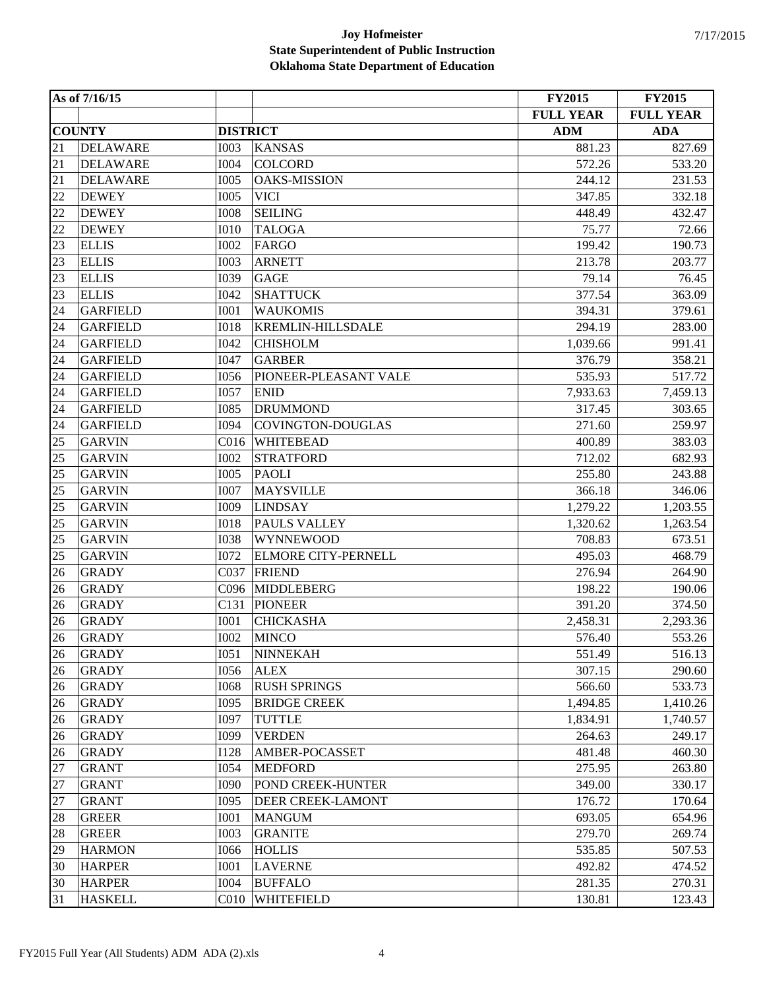|    | As of 7/16/15   |                  |                          | <b>FY2015</b>    | <b>FY2015</b>    |
|----|-----------------|------------------|--------------------------|------------------|------------------|
|    |                 |                  |                          | <b>FULL YEAR</b> | <b>FULL YEAR</b> |
|    | <b>COUNTY</b>   | <b>DISTRICT</b>  |                          | <b>ADM</b>       | <b>ADA</b>       |
| 21 | <b>DELAWARE</b> | <b>I003</b>      | <b>KANSAS</b>            | 881.23           | 827.69           |
| 21 | <b>DELAWARE</b> | <b>I004</b>      | <b>COLCORD</b>           | 572.26           | 533.20           |
| 21 | <b>DELAWARE</b> | <b>I005</b>      | <b>OAKS-MISSION</b>      | 244.12           | 231.53           |
| 22 | <b>DEWEY</b>    | <b>I005</b>      | <b>VICI</b>              | 347.85           | 332.18           |
| 22 | <b>DEWEY</b>    | <b>I008</b>      | <b>SEILING</b>           | 448.49           | 432.47           |
| 22 | <b>DEWEY</b>    | <b>I010</b>      | <b>TALOGA</b>            | 75.77            | 72.66            |
| 23 | <b>ELLIS</b>    | <b>I002</b>      | <b>FARGO</b>             | 199.42           | 190.73           |
| 23 | <b>ELLIS</b>    | <b>I003</b>      | <b>ARNETT</b>            | 213.78           | 203.77           |
| 23 | <b>ELLIS</b>    | <b>I039</b>      | <b>GAGE</b>              | 79.14            | 76.45            |
| 23 | <b>ELLIS</b>    | I042             | <b>SHATTUCK</b>          | 377.54           | 363.09           |
| 24 | <b>GARFIELD</b> | <b>I001</b>      | <b>WAUKOMIS</b>          | 394.31           | 379.61           |
| 24 | <b>GARFIELD</b> | <b>I018</b>      | <b>KREMLIN-HILLSDALE</b> | 294.19           | 283.00           |
| 24 | <b>GARFIELD</b> | I042             | <b>CHISHOLM</b>          | 1,039.66         | 991.41           |
| 24 | <b>GARFIELD</b> | I047             | <b>GARBER</b>            | 376.79           | 358.21           |
| 24 | <b>GARFIELD</b> | <b>I056</b>      | PIONEER-PLEASANT VALE    | 535.93           | 517.72           |
| 24 | <b>GARFIELD</b> | <b>I057</b>      | <b>ENID</b>              | 7,933.63         | 7,459.13         |
| 24 | <b>GARFIELD</b> | <b>I085</b>      | <b>DRUMMOND</b>          | 317.45           | 303.65           |
| 24 | <b>GARFIELD</b> | <b>I094</b>      | COVINGTON-DOUGLAS        | 271.60           | 259.97           |
| 25 | <b>GARVIN</b>   | C <sub>016</sub> | <b>WHITEBEAD</b>         | 400.89           | 383.03           |
| 25 | <b>GARVIN</b>   | <b>I002</b>      | <b>STRATFORD</b>         | 712.02           | 682.93           |
| 25 | <b>GARVIN</b>   | <b>I005</b>      | <b>PAOLI</b>             | 255.80           | 243.88           |
| 25 | <b>GARVIN</b>   | <b>I007</b>      | <b>MAYSVILLE</b>         | 366.18           | 346.06           |
| 25 | <b>GARVIN</b>   | <b>I009</b>      | <b>LINDSAY</b>           | 1,279.22         | 1,203.55         |
| 25 | <b>GARVIN</b>   | <b>I018</b>      | PAULS VALLEY             | 1,320.62         | 1,263.54         |
| 25 | <b>GARVIN</b>   | <b>I038</b>      | <b>WYNNEWOOD</b>         | 708.83           | 673.51           |
| 25 | <b>GARVIN</b>   | <b>I072</b>      | ELMORE CITY-PERNELL      | 495.03           | 468.79           |
| 26 | <b>GRADY</b>    | C037             | <b>FRIEND</b>            | 276.94           | 264.90           |
| 26 | <b>GRADY</b>    | C096             | <b>MIDDLEBERG</b>        | 198.22           | 190.06           |
| 26 | <b>GRADY</b>    | C131             | <b>PIONEER</b>           | 391.20           | 374.50           |
| 26 | <b>GRADY</b>    | <b>I001</b>      | <b>CHICKASHA</b>         | 2,458.31         | 2,293.36         |
| 26 | <b>GRADY</b>    | <b>I002</b>      | <b>MINCO</b>             | 576.40           | 553.26           |
| 26 | <b>GRADY</b>    | I051             | <b>NINNEKAH</b>          | 551.49           | 516.13           |
| 26 | <b>GRADY</b>    | <b>I056</b>      | <b>ALEX</b>              | 307.15           | 290.60           |
| 26 | <b>GRADY</b>    | <b>I068</b>      | <b>RUSH SPRINGS</b>      | 566.60           | 533.73           |
| 26 | <b>GRADY</b>    | I095             | <b>BRIDGE CREEK</b>      | 1,494.85         | 1,410.26         |
| 26 | <b>GRADY</b>    | I097             | <b>TUTTLE</b>            | 1,834.91         | 1,740.57         |
| 26 | <b>GRADY</b>    | <b>I099</b>      | <b>VERDEN</b>            | 264.63           | 249.17           |
| 26 | <b>GRADY</b>    | <b>I128</b>      | AMBER-POCASSET           | 481.48           | 460.30           |
| 27 | <b>GRANT</b>    | <b>I054</b>      | <b>MEDFORD</b>           | 275.95           | 263.80           |
| 27 | <b>GRANT</b>    | <b>I090</b>      | POND CREEK-HUNTER        | 349.00           | 330.17           |
| 27 | <b>GRANT</b>    | <b>I095</b>      | DEER CREEK-LAMONT        | 176.72           | 170.64           |
| 28 | <b>GREER</b>    | <b>I001</b>      | <b>MANGUM</b>            | 693.05           | 654.96           |
| 28 | <b>GREER</b>    | <b>I003</b>      | <b>GRANITE</b>           | 279.70           | 269.74           |
| 29 | <b>HARMON</b>   | <b>I066</b>      | <b>HOLLIS</b>            | 535.85           | 507.53           |
| 30 | <b>HARPER</b>   | <b>I001</b>      | <b>LAVERNE</b>           | 492.82           | 474.52           |
| 30 | <b>HARPER</b>   | <b>I004</b>      | <b>BUFFALO</b>           | 281.35           | 270.31           |
| 31 | <b>HASKELL</b>  | C <sub>010</sub> | WHITEFIELD               | 130.81           | 123.43           |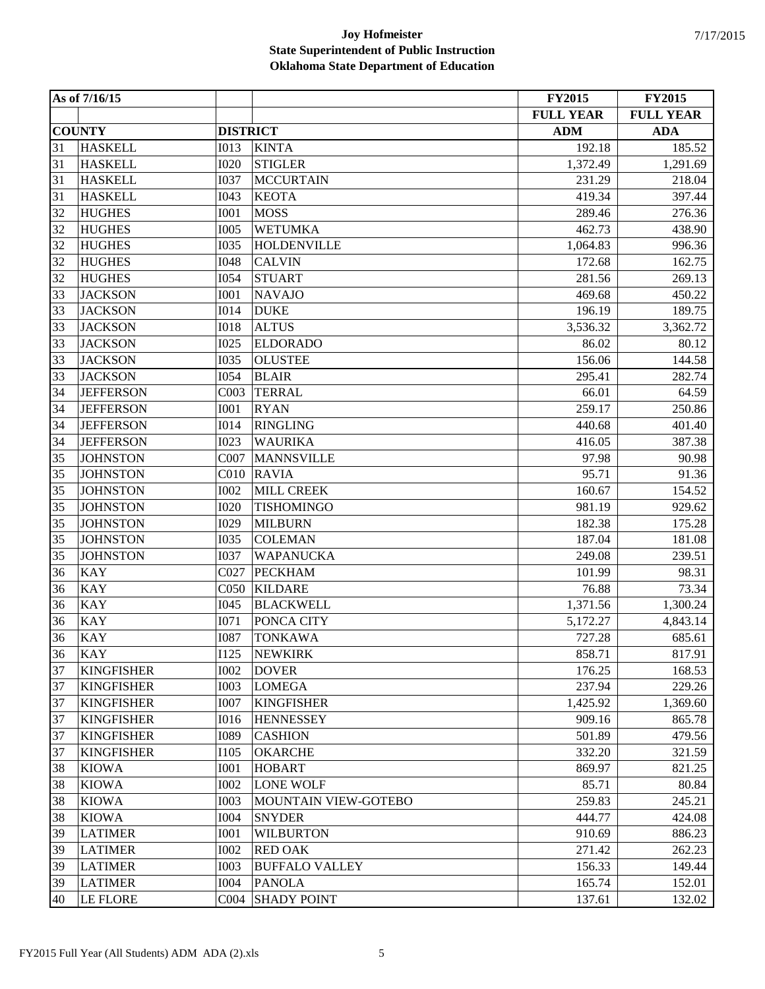|    | As of 7/16/15     |                  |                             | <b>FY2015</b>    | <b>FY2015</b>    |
|----|-------------------|------------------|-----------------------------|------------------|------------------|
|    |                   |                  |                             | <b>FULL YEAR</b> | <b>FULL YEAR</b> |
|    | <b>COUNTY</b>     | <b>DISTRICT</b>  |                             | $\bf{ADM}$       | <b>ADA</b>       |
| 31 | <b>HASKELL</b>    | <b>I013</b>      | <b>KINTA</b>                | 192.18           | 185.52           |
| 31 | <b>HASKELL</b>    | <b>I020</b>      | <b>STIGLER</b>              | 1,372.49         | 1,291.69         |
| 31 | <b>HASKELL</b>    | <b>I037</b>      | <b>MCCURTAIN</b>            | 231.29           | 218.04           |
| 31 | <b>HASKELL</b>    | I043             | <b>KEOTA</b>                | 419.34           | 397.44           |
| 32 | <b>HUGHES</b>     | <b>I001</b>      | <b>MOSS</b>                 | 289.46           | 276.36           |
| 32 | <b>HUGHES</b>     | <b>I005</b>      | <b>WETUMKA</b>              | 462.73           | 438.90           |
| 32 | <b>HUGHES</b>     | <b>I035</b>      | <b>HOLDENVILLE</b>          | 1,064.83         | 996.36           |
| 32 | <b>HUGHES</b>     | <b>I048</b>      | <b>CALVIN</b>               | 172.68           | 162.75           |
| 32 | <b>HUGHES</b>     | <b>I054</b>      | <b>STUART</b>               | 281.56           | 269.13           |
| 33 | <b>JACKSON</b>    | <b>I001</b>      | <b>NAVAJO</b>               | 469.68           | 450.22           |
| 33 | <b>JACKSON</b>    | <b>I014</b>      | <b>DUKE</b>                 | 196.19           | 189.75           |
| 33 | <b>JACKSON</b>    | <b>IO18</b>      | <b>ALTUS</b>                | 3,536.32         | 3,362.72         |
| 33 | <b>JACKSON</b>    | I025             | <b>ELDORADO</b>             | 86.02            | 80.12            |
| 33 | <b>JACKSON</b>    | <b>I035</b>      | <b>OLUSTEE</b>              | 156.06           | 144.58           |
| 33 | <b>JACKSON</b>    | <b>I054</b>      | <b>BLAIR</b>                | 295.41           | 282.74           |
| 34 | <b>JEFFERSON</b>  | C003             | <b>TERRAL</b>               | 66.01            | 64.59            |
| 34 | <b>JEFFERSON</b>  | <b>I001</b>      | <b>RYAN</b>                 | 259.17           | 250.86           |
| 34 | <b>JEFFERSON</b>  | <b>I014</b>      | <b>RINGLING</b>             | 440.68           | 401.40           |
| 34 | <b>JEFFERSON</b>  | <b>I023</b>      | <b>WAURIKA</b>              | 416.05           | 387.38           |
| 35 | <b>JOHNSTON</b>   | C007             | <b>MANNSVILLE</b>           | 97.98            | 90.98            |
| 35 | <b>JOHNSTON</b>   | C <sub>010</sub> | <b>RAVIA</b>                | 95.71            | 91.36            |
| 35 | <b>JOHNSTON</b>   | <b>I002</b>      | <b>MILL CREEK</b>           | 160.67           | 154.52           |
| 35 | <b>JOHNSTON</b>   | <b>I020</b>      | <b>TISHOMINGO</b>           | 981.19           | 929.62           |
| 35 | <b>JOHNSTON</b>   | I029             | <b>MILBURN</b>              | 182.38           | 175.28           |
| 35 | <b>JOHNSTON</b>   | <b>I035</b>      | <b>COLEMAN</b>              | 187.04           | 181.08           |
| 35 | <b>JOHNSTON</b>   | <b>I037</b>      | <b>WAPANUCKA</b>            | 249.08           | 239.51           |
| 36 | <b>KAY</b>        | C027             | <b>PECKHAM</b>              | 101.99           | 98.31            |
| 36 | <b>KAY</b>        | C <sub>050</sub> | <b>KILDARE</b>              | 76.88            | 73.34            |
| 36 | <b>KAY</b>        | I045             | <b>BLACKWELL</b>            | 1,371.56         | 1,300.24         |
| 36 | <b>KAY</b>        | <b>I071</b>      | PONCA CITY                  | 5,172.27         | 4,843.14         |
| 36 | <b>KAY</b>        | <b>I087</b>      | <b>TONKAWA</b>              | 727.28           | 685.61           |
| 36 | KAY               | I125             | <b>NEWKIRK</b>              | 858.71           | 817.91           |
| 37 | <b>KINGFISHER</b> | <b>I002</b>      | <b>DOVER</b>                | 176.25           | 168.53           |
| 37 | <b>KINGFISHER</b> | <b>I003</b>      | <b>LOMEGA</b>               | 237.94           | 229.26           |
| 37 | <b>KINGFISHER</b> | <b>I007</b>      | <b>KINGFISHER</b>           | 1,425.92         | 1,369.60         |
| 37 | <b>KINGFISHER</b> | <b>I016</b>      | <b>HENNESSEY</b>            | 909.16           | 865.78           |
| 37 | <b>KINGFISHER</b> | <b>I089</b>      | <b>CASHION</b>              | 501.89           | 479.56           |
| 37 | <b>KINGFISHER</b> | <b>I105</b>      | <b>OKARCHE</b>              | 332.20           | 321.59           |
| 38 | <b>KIOWA</b>      | <b>I001</b>      | <b>HOBART</b>               | 869.97           | 821.25           |
| 38 | <b>KIOWA</b>      | <b>I002</b>      | LONE WOLF                   | 85.71            | 80.84            |
| 38 | <b>KIOWA</b>      | <b>I003</b>      | <b>MOUNTAIN VIEW-GOTEBO</b> | 259.83           | 245.21           |
| 38 | <b>KIOWA</b>      | <b>I004</b>      | <b>SNYDER</b>               | 444.77           | 424.08           |
| 39 | <b>LATIMER</b>    | <b>I001</b>      | <b>WILBURTON</b>            | 910.69           | 886.23           |
| 39 | <b>LATIMER</b>    | <b>I002</b>      | <b>RED OAK</b>              | 271.42           | 262.23           |
| 39 | <b>LATIMER</b>    | <b>I003</b>      | <b>BUFFALO VALLEY</b>       | 156.33           | 149.44           |
| 39 | <b>LATIMER</b>    | <b>I004</b>      | <b>PANOLA</b>               | 165.74           | 152.01           |
| 40 | LE FLORE          | CO <sub>04</sub> | <b>SHADY POINT</b>          | 137.61           | 132.02           |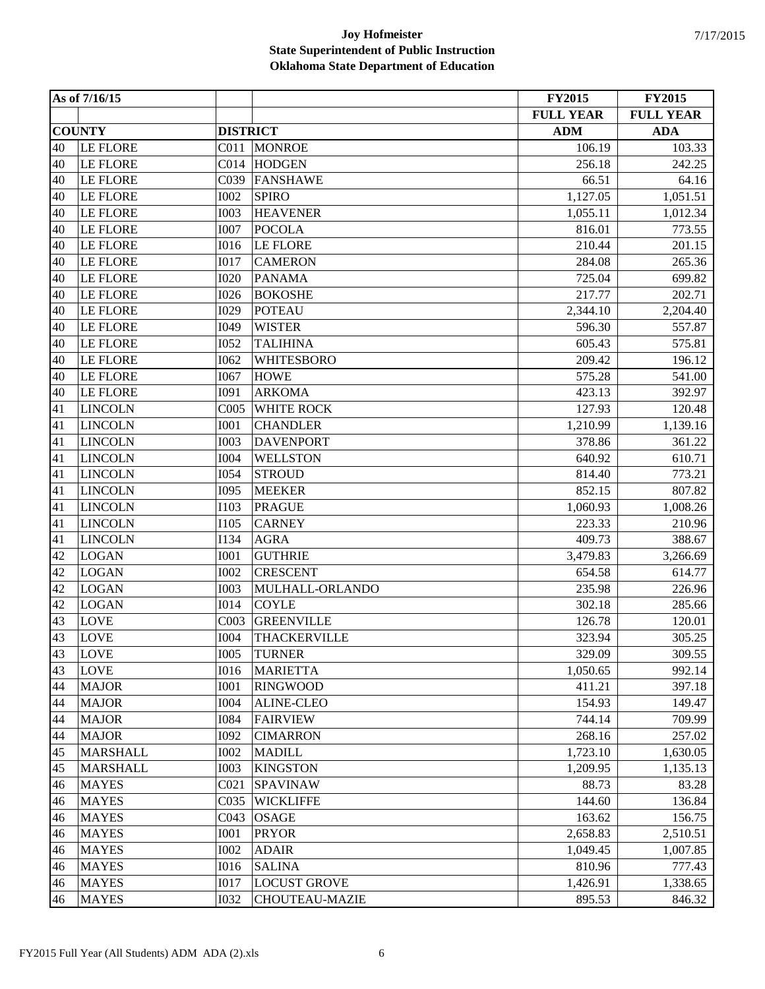|    | As of 7/16/15   |                  |                       | <b>FY2015</b>    | <b>FY2015</b>    |
|----|-----------------|------------------|-----------------------|------------------|------------------|
|    |                 |                  |                       | <b>FULL YEAR</b> | <b>FULL YEAR</b> |
|    | <b>COUNTY</b>   | <b>DISTRICT</b>  |                       | <b>ADM</b>       | <b>ADA</b>       |
| 40 | <b>LE FLORE</b> | CO11             | <b>MONROE</b>         | 106.19           | 103.33           |
| 40 | LE FLORE        | CO14             | <b>HODGEN</b>         | 256.18           | 242.25           |
| 40 | <b>LE FLORE</b> | C039             | <b>FANSHAWE</b>       | 66.51            | 64.16            |
| 40 | <b>LE FLORE</b> | <b>I002</b>      | <b>SPIRO</b>          | 1,127.05         | 1,051.51         |
| 40 | <b>LE FLORE</b> | <b>I003</b>      | <b>HEAVENER</b>       | 1,055.11         | 1,012.34         |
| 40 | <b>LE FLORE</b> | <b>I007</b>      | <b>POCOLA</b>         | 816.01           | 773.55           |
| 40 | <b>LE FLORE</b> | <b>I016</b>      | <b>LE FLORE</b>       | 210.44           | 201.15           |
| 40 | LE FLORE        | I017             | <b>CAMERON</b>        | 284.08           | 265.36           |
| 40 | <b>LE FLORE</b> | <b>I020</b>      | <b>PANAMA</b>         | 725.04           | 699.82           |
| 40 | <b>LE FLORE</b> | <b>I026</b>      | <b>BOKOSHE</b>        | 217.77           | 202.71           |
| 40 | <b>LE FLORE</b> | <b>I029</b>      | <b>POTEAU</b>         | 2,344.10         | 2,204.40         |
| 40 | LE FLORE        | I049             | <b>WISTER</b>         | 596.30           | 557.87           |
| 40 | LE FLORE        | <b>I052</b>      | <b>TALIHINA</b>       | 605.43           | 575.81           |
| 40 | <b>LE FLORE</b> | I062             | WHITESBORO            | 209.42           | 196.12           |
| 40 | <b>LE FLORE</b> | I067             | <b>HOWE</b>           | 575.28           | 541.00           |
| 40 | <b>LE FLORE</b> | I091             | <b>ARKOMA</b>         | 423.13           | 392.97           |
| 41 | <b>LINCOLN</b>  | COO5             | <b>WHITE ROCK</b>     | 127.93           | 120.48           |
| 41 | <b>LINCOLN</b>  | <b>I001</b>      | <b>CHANDLER</b>       | 1,210.99         | 1,139.16         |
| 41 | <b>LINCOLN</b>  | <b>I003</b>      | <b>DAVENPORT</b>      | 378.86           | 361.22           |
| 41 | <b>LINCOLN</b>  | <b>I004</b>      | <b>WELLSTON</b>       | 640.92           | 610.71           |
| 41 | <b>LINCOLN</b>  | <b>I054</b>      | <b>STROUD</b>         | 814.40           | 773.21           |
| 41 | <b>LINCOLN</b>  | <b>I095</b>      | <b>MEEKER</b>         | 852.15           | 807.82           |
| 41 | <b>LINCOLN</b>  | I103             | <b>PRAGUE</b>         | 1,060.93         | 1,008.26         |
| 41 | <b>LINCOLN</b>  | I105             | <b>CARNEY</b>         | 223.33           | 210.96           |
| 41 | <b>LINCOLN</b>  | I134             | <b>AGRA</b>           | 409.73           | 388.67           |
| 42 | <b>LOGAN</b>    | <b>I001</b>      | <b>GUTHRIE</b>        | 3,479.83         | 3,266.69         |
| 42 | <b>LOGAN</b>    | <b>I002</b>      | <b>CRESCENT</b>       | 654.58           | 614.77           |
| 42 | LOGAN           | <b>I003</b>      | MULHALL-ORLANDO       | 235.98           | 226.96           |
| 42 | <b>LOGAN</b>    | <b>I014</b>      | <b>COYLE</b>          | 302.18           | 285.66           |
| 43 | <b>LOVE</b>     | CO <sub>03</sub> | <b>GREENVILLE</b>     | 126.78           | 120.01           |
| 43 | <b>LOVE</b>     | <b>I004</b>      | <b>THACKERVILLE</b>   | 323.94           | 305.25           |
| 43 | LOVE            | I005             | <b>TURNER</b>         | 329.09           | 309.55           |
| 43 | <b>LOVE</b>     | <b>I016</b>      | <b>MARIETTA</b>       | 1,050.65         | 992.14           |
| 44 | <b>MAJOR</b>    | <b>I001</b>      | <b>RINGWOOD</b>       | 411.21           | 397.18           |
| 44 | <b>MAJOR</b>    | <b>I004</b>      | <b>ALINE-CLEO</b>     | 154.93           | 149.47           |
| 44 | <b>MAJOR</b>    | <b>I084</b>      | <b>FAIRVIEW</b>       | 744.14           | 709.99           |
| 44 | <b>MAJOR</b>    | <b>I092</b>      | <b>CIMARRON</b>       | 268.16           | 257.02           |
| 45 | <b>MARSHALL</b> | <b>I002</b>      | <b>MADILL</b>         | 1,723.10         | 1,630.05         |
| 45 | <b>MARSHALL</b> | <b>I003</b>      | <b>KINGSTON</b>       | 1,209.95         | 1,135.13         |
| 46 | <b>MAYES</b>    | C <sub>021</sub> | <b>SPAVINAW</b>       | 88.73            | 83.28            |
| 46 | <b>MAYES</b>    | C035             | <b>WICKLIFFE</b>      | 144.60           | 136.84           |
| 46 | <b>MAYES</b>    | C <sub>043</sub> | <b>OSAGE</b>          | 163.62           | 156.75           |
| 46 | <b>MAYES</b>    | <b>I001</b>      | <b>PRYOR</b>          | 2,658.83         | 2,510.51         |
| 46 | <b>MAYES</b>    | <b>I002</b>      | <b>ADAIR</b>          | 1,049.45         | 1,007.85         |
| 46 | <b>MAYES</b>    | <b>I016</b>      | <b>SALINA</b>         | 810.96           | 777.43           |
| 46 | <b>MAYES</b>    | <b>I017</b>      | <b>LOCUST GROVE</b>   | 1,426.91         | 1,338.65         |
| 46 | <b>MAYES</b>    | <b>I032</b>      | <b>CHOUTEAU-MAZIE</b> | 895.53           | 846.32           |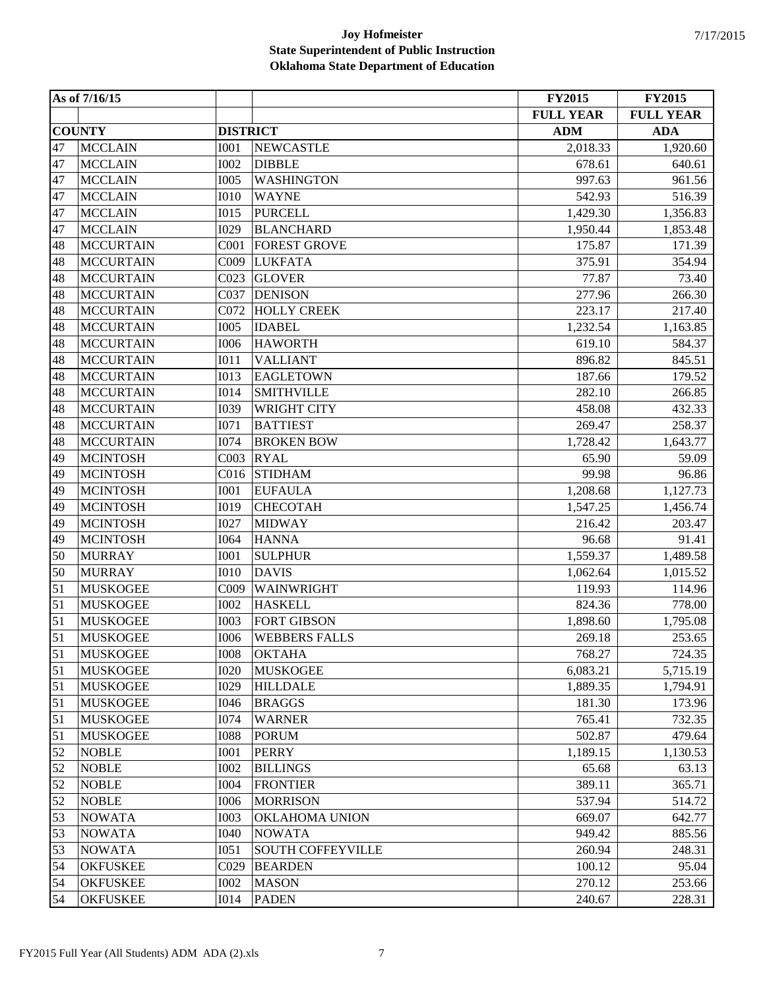|            | As of 7/16/15    |                  |                          | <b>FY2015</b>    | <b>FY2015</b>    |
|------------|------------------|------------------|--------------------------|------------------|------------------|
|            |                  |                  |                          | <b>FULL YEAR</b> | <b>FULL YEAR</b> |
|            | <b>COUNTY</b>    | <b>DISTRICT</b>  |                          | <b>ADM</b>       | <b>ADA</b>       |
| 47         | <b>MCCLAIN</b>   | <b>I001</b>      | <b>NEWCASTLE</b>         | 2,018.33         | 1,920.60         |
| 47         | <b>MCCLAIN</b>   | <b>I002</b>      | <b>DIBBLE</b>            | 678.61           | 640.61           |
| 47         | <b>MCCLAIN</b>   | <b>I005</b>      | <b>WASHINGTON</b>        | 997.63           | 961.56           |
| 47         | <b>MCCLAIN</b>   | <b>I010</b>      | <b>WAYNE</b>             | 542.93           | 516.39           |
| 47         | <b>MCCLAIN</b>   | I015             | <b>PURCELL</b>           | 1,429.30         | 1,356.83         |
| 47         | <b>MCCLAIN</b>   | <b>I029</b>      | <b>BLANCHARD</b>         | 1,950.44         | 1,853.48         |
| 48         | <b>MCCURTAIN</b> | COO1             | <b>FOREST GROVE</b>      | 175.87           | 171.39           |
| 48         | <b>MCCURTAIN</b> | C009             | <b>LUKFATA</b>           | 375.91           | 354.94           |
| 48         | <b>MCCURTAIN</b> | CO <sub>23</sub> | <b>GLOVER</b>            | 77.87            | 73.40            |
| 48         | <b>MCCURTAIN</b> | C037             | <b>DENISON</b>           | 277.96           | 266.30           |
| 48         | <b>MCCURTAIN</b> | C072             | <b>HOLLY CREEK</b>       | 223.17           | 217.40           |
| 48         | <b>MCCURTAIN</b> | <b>I005</b>      | <b>IDABEL</b>            | 1,232.54         | 1,163.85         |
| 48         | <b>MCCURTAIN</b> | <b>I006</b>      | <b>HAWORTH</b>           | 619.10           | 584.37           |
| 48         | <b>MCCURTAIN</b> | I011             | <b>VALLIANT</b>          | 896.82           | 845.51           |
| 48         | <b>MCCURTAIN</b> | <b>I013</b>      | <b>EAGLETOWN</b>         | 187.66           | 179.52           |
| 48         | <b>MCCURTAIN</b> | <b>I014</b>      | <b>SMITHVILLE</b>        | 282.10           | 266.85           |
| 48         | <b>MCCURTAIN</b> | <b>I039</b>      | <b>WRIGHT CITY</b>       | 458.08           | 432.33           |
| 48         | <b>MCCURTAIN</b> | I071             | <b>BATTIEST</b>          | 269.47           | 258.37           |
| 48         | <b>MCCURTAIN</b> | <b>I074</b>      | <b>BROKEN BOW</b>        | 1,728.42         | 1,643.77         |
| 49         | <b>MCINTOSH</b>  | CO <sub>03</sub> | <b>RYAL</b>              | 65.90            | 59.09            |
| 49         | <b>MCINTOSH</b>  | C <sub>016</sub> | <b>STIDHAM</b>           | 99.98            | 96.86            |
| 49         | <b>MCINTOSH</b>  | <b>I001</b>      | <b>EUFAULA</b>           | 1,208.68         | 1,127.73         |
| 49         | <b>MCINTOSH</b>  | <b>I019</b>      | <b>CHECOTAH</b>          | 1,547.25         | 1,456.74         |
| 49         | <b>MCINTOSH</b>  | <b>I027</b>      | <b>MIDWAY</b>            | 216.42           | 203.47           |
| 49         | <b>MCINTOSH</b>  | <b>I064</b>      | <b>HANNA</b>             | 96.68            | 91.41            |
| 50         | <b>MURRAY</b>    | <b>I001</b>      | <b>SULPHUR</b>           | 1,559.37         | 1,489.58         |
| 50         | <b>MURRAY</b>    | <b>I010</b>      | <b>DAVIS</b>             | 1,062.64         | 1,015.52         |
| 51         | <b>MUSKOGEE</b>  | C009             | WAINWRIGHT               | 119.93           | 114.96           |
| 51         | <b>MUSKOGEE</b>  | <b>I002</b>      | <b>HASKELL</b>           | 824.36           | 778.00           |
| 51         | <b>MUSKOGEE</b>  | <b>I003</b>      | <b>FORT GIBSON</b>       | 1,898.60         | 1,795.08         |
| 51         | <b>MUSKOGEE</b>  | <b>I006</b>      | <b>WEBBERS FALLS</b>     | 269.18           | 253.65           |
| $\vert$ 51 | <b>MUSKOGEE</b>  | <b>IOO8</b>      | <b>OKTAHA</b>            | 768.27           | 724.35           |
| 51         | <b>MUSKOGEE</b>  | <b>I020</b>      | <b>MUSKOGEE</b>          | 6,083.21         | 5,715.19         |
| 51         | <b>MUSKOGEE</b>  | <b>I029</b>      | <b>HILLDALE</b>          | 1,889.35         | 1,794.91         |
| 51         | <b>MUSKOGEE</b>  | I046             | <b>BRAGGS</b>            | 181.30           | 173.96           |
| 51         | <b>MUSKOGEE</b>  | I074             | <b>WARNER</b>            | 765.41           | 732.35           |
| 51         | <b>MUSKOGEE</b>  | <b>I088</b>      | <b>PORUM</b>             | 502.87           | 479.64           |
| 52         | <b>NOBLE</b>     | <b>I001</b>      | <b>PERRY</b>             | 1,189.15         | 1,130.53         |
| 52         | <b>NOBLE</b>     | <b>I002</b>      | <b>BILLINGS</b>          | 65.68            | 63.13            |
| 52         | <b>NOBLE</b>     | <b>I004</b>      | <b>FRONTIER</b>          | 389.11           | 365.71           |
| 52         | <b>NOBLE</b>     | <b>I006</b>      | <b>MORRISON</b>          | 537.94           | 514.72           |
| 53         | <b>NOWATA</b>    | <b>I003</b>      | OKLAHOMA UNION           | 669.07           | 642.77           |
| 53         | <b>NOWATA</b>    | <b>I040</b>      | <b>NOWATA</b>            | 949.42           | 885.56           |
| 53         | <b>NOWATA</b>    | I051             | <b>SOUTH COFFEYVILLE</b> | 260.94           | 248.31           |
| 54         | <b>OKFUSKEE</b>  | C029             | <b>BEARDEN</b>           | 100.12           | 95.04            |
| 54         | <b>OKFUSKEE</b>  | <b>I002</b>      | <b>MASON</b>             | 270.12           | 253.66           |
| 54         | <b>OKFUSKEE</b>  | <b>I014</b>      | <b>PADEN</b>             | 240.67           | 228.31           |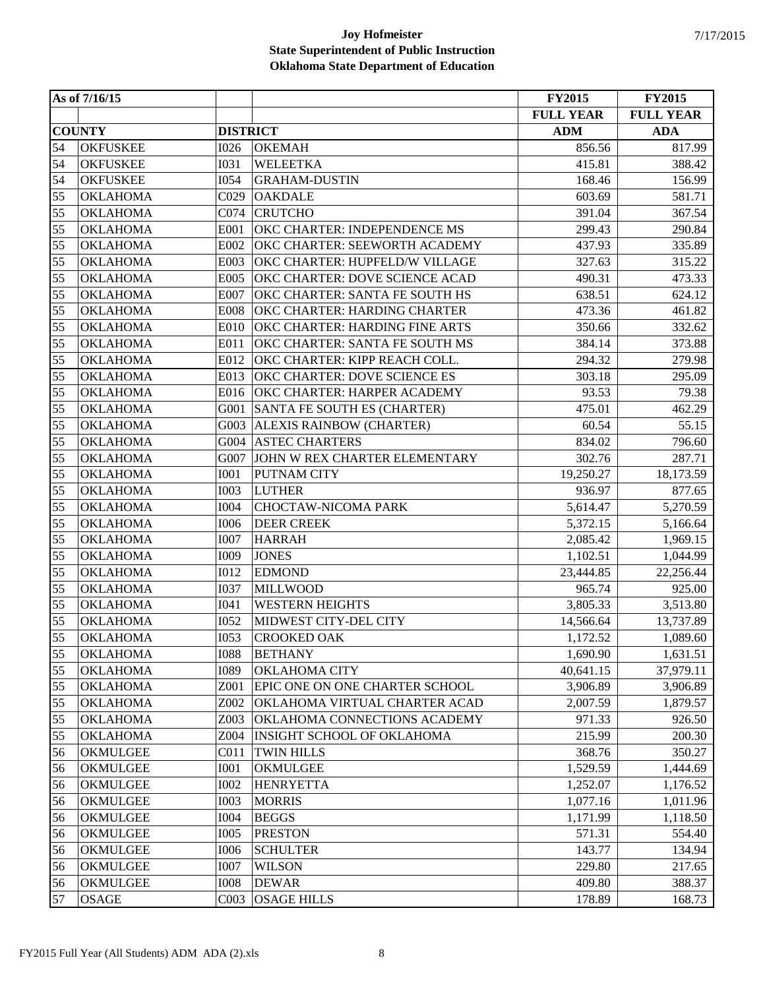|    | As of 7/16/15   |                  |                                    | <b>FY2015</b>    | <b>FY2015</b>    |
|----|-----------------|------------------|------------------------------------|------------------|------------------|
|    |                 |                  |                                    | <b>FULL YEAR</b> | <b>FULL YEAR</b> |
|    | <b>COUNTY</b>   | <b>DISTRICT</b>  |                                    | <b>ADM</b>       | <b>ADA</b>       |
| 54 | <b>OKFUSKEE</b> | <b>I026</b>      | <b>OKEMAH</b>                      | 856.56           | 817.99           |
| 54 | <b>OKFUSKEE</b> | <b>I031</b>      | <b>WELEETKA</b>                    | 415.81           | 388.42           |
| 54 | <b>OKFUSKEE</b> | <b>I054</b>      | <b>GRAHAM-DUSTIN</b>               | 168.46           | 156.99           |
| 55 | <b>OKLAHOMA</b> | C <sub>029</sub> | <b>OAKDALE</b>                     | 603.69           | 581.71           |
| 55 | <b>OKLAHOMA</b> | C074             | <b>CRUTCHO</b>                     | 391.04           | 367.54           |
| 55 | <b>OKLAHOMA</b> | E001             | OKC CHARTER: INDEPENDENCE MS       | 299.43           | 290.84           |
| 55 | <b>OKLAHOMA</b> | E002             | OKC CHARTER: SEEWORTH ACADEMY      | 437.93           | 335.89           |
| 55 | <b>OKLAHOMA</b> | E003             | OKC CHARTER: HUPFELD/W VILLAGE     | 327.63           | 315.22           |
| 55 | <b>OKLAHOMA</b> | E005             | OKC CHARTER: DOVE SCIENCE ACAD     | 490.31           | 473.33           |
| 55 | <b>OKLAHOMA</b> | E007             | OKC CHARTER: SANTA FE SOUTH HS     | 638.51           | 624.12           |
| 55 | <b>OKLAHOMA</b> | <b>E008</b>      | OKC CHARTER: HARDING CHARTER       | 473.36           | 461.82           |
| 55 | <b>OKLAHOMA</b> | E010             | OKC CHARTER: HARDING FINE ARTS     | 350.66           | 332.62           |
| 55 | <b>OKLAHOMA</b> | E011             | OKC CHARTER: SANTA FE SOUTH MS     | 384.14           | 373.88           |
| 55 | <b>OKLAHOMA</b> | E012             | OKC CHARTER: KIPP REACH COLL.      | 294.32           | 279.98           |
| 55 | <b>OKLAHOMA</b> | E013             | OKC CHARTER: DOVE SCIENCE ES       | 303.18           | 295.09           |
| 55 | <b>OKLAHOMA</b> | E016             | OKC CHARTER: HARPER ACADEMY        | 93.53            | 79.38            |
| 55 | <b>OKLAHOMA</b> | G001             | <b>SANTA FE SOUTH ES (CHARTER)</b> | 475.01           | 462.29           |
| 55 | <b>OKLAHOMA</b> | G003             | <b>ALEXIS RAINBOW (CHARTER)</b>    | 60.54            | 55.15            |
| 55 | <b>OKLAHOMA</b> | G004             | <b>ASTEC CHARTERS</b>              | 834.02           | 796.60           |
| 55 | <b>OKLAHOMA</b> | G007             | JOHN W REX CHARTER ELEMENTARY      | 302.76           | 287.71           |
| 55 | <b>OKLAHOMA</b> | <b>I001</b>      | PUTNAM CITY                        | 19,250.27        | 18,173.59        |
| 55 | <b>OKLAHOMA</b> | <b>I003</b>      | <b>LUTHER</b>                      | 936.97           | 877.65           |
| 55 | <b>OKLAHOMA</b> | <b>I004</b>      | CHOCTAW-NICOMA PARK                | 5,614.47         | 5,270.59         |
| 55 | <b>OKLAHOMA</b> | <b>I006</b>      | <b>DEER CREEK</b>                  | 5,372.15         | 5,166.64         |
| 55 | <b>OKLAHOMA</b> | <b>I007</b>      | <b>HARRAH</b>                      | 2,085.42         | 1,969.15         |
| 55 | <b>OKLAHOMA</b> | <b>I009</b>      | <b>JONES</b>                       | 1,102.51         | 1,044.99         |
| 55 | <b>OKLAHOMA</b> | <b>I012</b>      | <b>EDMOND</b>                      | 23,444.85        | 22,256.44        |
| 55 | <b>OKLAHOMA</b> | <b>I037</b>      | <b>MILLWOOD</b>                    | 965.74           | 925.00           |
| 55 | <b>OKLAHOMA</b> | I041             | <b>WESTERN HEIGHTS</b>             | 3,805.33         | 3,513.80         |
| 55 | <b>OKLAHOMA</b> | <b>I052</b>      | MIDWEST CITY-DEL CITY              | 14,566.64        | 13,737.89        |
| 55 | <b>OKLAHOMA</b> | I053             | <b>CROOKED OAK</b>                 | 1,172.52         | 1,089.60         |
| 55 | <b>OKLAHOMA</b> | 1088             | <b>BETHANY</b>                     | 1,690.90         | 1,631.51         |
| 55 | <b>OKLAHOMA</b> | <b>I089</b>      | OKLAHOMA CITY                      | 40,641.15        | 37,979.11        |
| 55 | <b>OKLAHOMA</b> | Z001             | EPIC ONE ON ONE CHARTER SCHOOL     | 3,906.89         | 3,906.89         |
| 55 | <b>OKLAHOMA</b> | Z002             | OKLAHOMA VIRTUAL CHARTER ACAD      | 2,007.59         | 1,879.57         |
| 55 | <b>OKLAHOMA</b> | Z003             | OKLAHOMA CONNECTIONS ACADEMY       | 971.33           | 926.50           |
| 55 | <b>OKLAHOMA</b> | Z004             | <b>INSIGHT SCHOOL OF OKLAHOMA</b>  | 215.99           | 200.30           |
| 56 | <b>OKMULGEE</b> | CO11             | <b>TWIN HILLS</b>                  | 368.76           | 350.27           |
| 56 | OKMULGEE        | I001             | OKMULGEE                           | 1,529.59         | 1,444.69         |
| 56 | <b>OKMULGEE</b> | <b>I002</b>      | <b>HENRYETTA</b>                   | 1,252.07         | 1,176.52         |
| 56 | OKMULGEE        | <b>I003</b>      | <b>MORRIS</b>                      | 1,077.16         | 1,011.96         |
| 56 | <b>OKMULGEE</b> | <b>I004</b>      | <b>BEGGS</b>                       | 1,171.99         | 1,118.50         |
| 56 | OKMULGEE        | <b>I005</b>      | <b>PRESTON</b>                     | 571.31           | 554.40           |
| 56 | <b>OKMULGEE</b> | <b>I006</b>      | <b>SCHULTER</b>                    | 143.77           | 134.94           |
| 56 | <b>OKMULGEE</b> | <b>I007</b>      | <b>WILSON</b>                      | 229.80           | 217.65           |
| 56 | OKMULGEE        | <b>I008</b>      | <b>DEWAR</b>                       | 409.80           | 388.37           |
| 57 | <b>OSAGE</b>    | CO <sub>03</sub> | <b>OSAGE HILLS</b>                 | 178.89           | 168.73           |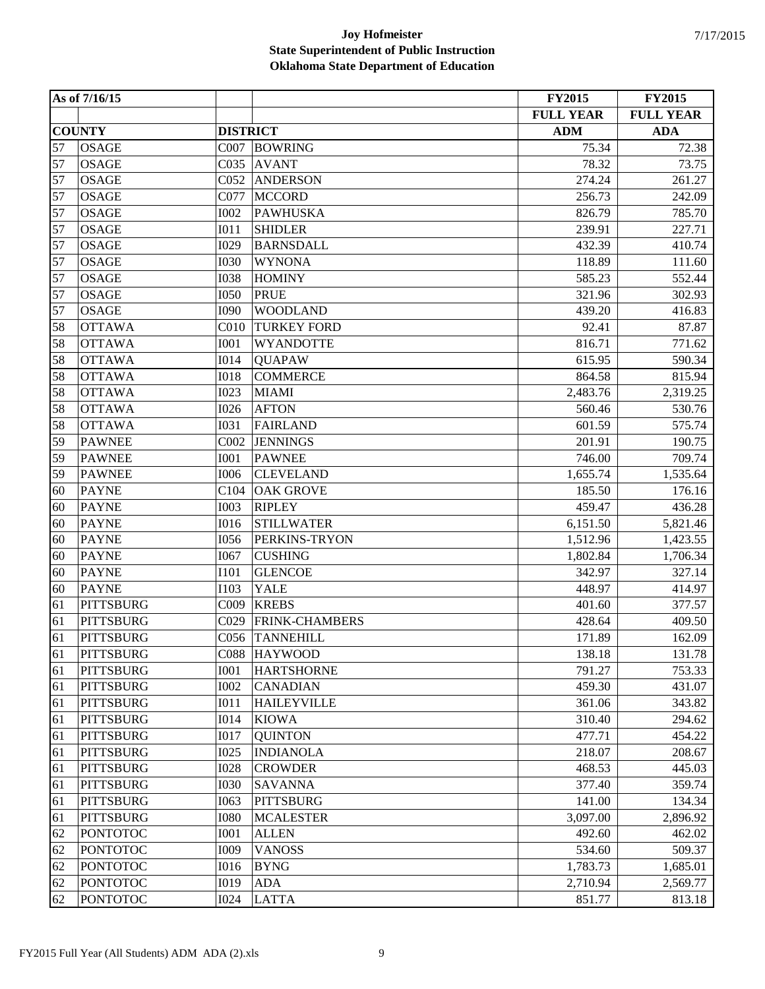|    | As of 7/16/15    |                  |                    | <b>FY2015</b>    | <b>FY2015</b>    |
|----|------------------|------------------|--------------------|------------------|------------------|
|    |                  |                  |                    | <b>FULL YEAR</b> | <b>FULL YEAR</b> |
|    | <b>COUNTY</b>    | <b>DISTRICT</b>  |                    | <b>ADM</b>       | <b>ADA</b>       |
| 57 | <b>OSAGE</b>     | C007             | <b>BOWRING</b>     | 75.34            | 72.38            |
| 57 | <b>OSAGE</b>     | C035             | <b>AVANT</b>       | 78.32            | 73.75            |
| 57 | <b>OSAGE</b>     | C <sub>052</sub> | <b>ANDERSON</b>    | 274.24           | 261.27           |
| 57 | <b>OSAGE</b>     | C077             | <b>MCCORD</b>      | 256.73           | 242.09           |
| 57 | <b>OSAGE</b>     | <b>I002</b>      | <b>PAWHUSKA</b>    | 826.79           | 785.70           |
| 57 | <b>OSAGE</b>     | I011             | <b>SHIDLER</b>     | 239.91           | 227.71           |
| 57 | <b>OSAGE</b>     | I029             | <b>BARNSDALL</b>   | 432.39           | 410.74           |
| 57 | <b>OSAGE</b>     | <b>I030</b>      | <b>WYNONA</b>      | 118.89           | 111.60           |
| 57 | <b>OSAGE</b>     | <b>I038</b>      | <b>HOMINY</b>      | 585.23           | 552.44           |
| 57 | <b>OSAGE</b>     | <b>I050</b>      | <b>PRUE</b>        | 321.96           | 302.93           |
| 57 | <b>OSAGE</b>     | <b>I090</b>      | <b>WOODLAND</b>    | 439.20           | 416.83           |
| 58 | <b>OTTAWA</b>    | C <sub>010</sub> | <b>TURKEY FORD</b> | 92.41            | 87.87            |
| 58 | <b>OTTAWA</b>    | <b>I001</b>      | <b>WYANDOTTE</b>   | 816.71           | 771.62           |
| 58 | <b>OTTAWA</b>    | <b>I014</b>      | <b>QUAPAW</b>      | 615.95           | 590.34           |
| 58 | <b>OTTAWA</b>    | <b>IO18</b>      | <b>COMMERCE</b>    | 864.58           | 815.94           |
| 58 | <b>OTTAWA</b>    | <b>I023</b>      | <b>MIAMI</b>       | 2,483.76         | 2,319.25         |
| 58 | <b>OTTAWA</b>    | <b>I026</b>      | <b>AFTON</b>       | 560.46           | 530.76           |
| 58 | <b>OTTAWA</b>    | <b>I031</b>      | <b>FAIRLAND</b>    | 601.59           | 575.74           |
| 59 | <b>PAWNEE</b>    | COO2             | <b>JENNINGS</b>    | 201.91           | 190.75           |
| 59 | <b>PAWNEE</b>    | <b>I001</b>      | <b>PAWNEE</b>      | 746.00           | 709.74           |
| 59 | <b>PAWNEE</b>    | <b>I006</b>      | <b>CLEVELAND</b>   | 1,655.74         | 1,535.64         |
| 60 | <b>PAYNE</b>     | C104             | <b>OAK GROVE</b>   | 185.50           | 176.16           |
| 60 | <b>PAYNE</b>     | <b>I003</b>      | <b>RIPLEY</b>      | 459.47           | 436.28           |
| 60 | <b>PAYNE</b>     | <b>I016</b>      | <b>STILLWATER</b>  | 6,151.50         | 5,821.46         |
| 60 | <b>PAYNE</b>     | <b>I056</b>      | PERKINS-TRYON      | 1,512.96         | 1,423.55         |
| 60 | <b>PAYNE</b>     | I067             | <b>CUSHING</b>     | 1,802.84         | 1,706.34         |
| 60 | <b>PAYNE</b>     | <b>I101</b>      | <b>GLENCOE</b>     | 342.97           | 327.14           |
| 60 | <b>PAYNE</b>     | <b>I103</b>      | <b>YALE</b>        | 448.97           | 414.97           |
| 61 | <b>PITTSBURG</b> | C009             | <b>KREBS</b>       | 401.60           | 377.57           |
| 61 | <b>PITTSBURG</b> | CO <sub>29</sub> | FRINK-CHAMBERS     | 428.64           | 409.50           |
| 61 | <b>PITTSBURG</b> | C056             | <b>TANNEHILL</b>   | 171.89           | 162.09           |
| 61 | <b>PITTSBURG</b> | C <sub>088</sub> | <b>HAYWOOD</b>     | 138.18           | 131.78           |
| 61 | <b>PITTSBURG</b> | <b>I001</b>      | <b>HARTSHORNE</b>  | 791.27           | 753.33           |
| 61 | <b>PITTSBURG</b> | <b>I002</b>      | <b>CANADIAN</b>    | 459.30           | 431.07           |
| 61 | <b>PITTSBURG</b> | I011             | <b>HAILEYVILLE</b> | 361.06           | 343.82           |
| 61 | <b>PITTSBURG</b> | <b>I014</b>      | <b>KIOWA</b>       | 310.40           | 294.62           |
| 61 | <b>PITTSBURG</b> | <b>I017</b>      | <b>QUINTON</b>     | 477.71           | 454.22           |
| 61 | <b>PITTSBURG</b> | <b>I025</b>      | <b>INDIANOLA</b>   | 218.07           | 208.67           |
| 61 | <b>PITTSBURG</b> | <b>I028</b>      | <b>CROWDER</b>     | 468.53           | 445.03           |
| 61 | <b>PITTSBURG</b> | <b>I030</b>      | <b>SAVANNA</b>     | 377.40           | 359.74           |
| 61 | <b>PITTSBURG</b> | I063             | <b>PITTSBURG</b>   | 141.00           | 134.34           |
| 61 | <b>PITTSBURG</b> | <b>I080</b>      | <b>MCALESTER</b>   | 3,097.00         | 2,896.92         |
| 62 | <b>PONTOTOC</b>  | <b>I001</b>      | <b>ALLEN</b>       | 492.60           | 462.02           |
| 62 | <b>PONTOTOC</b>  | I009             | <b>VANOSS</b>      | 534.60           | 509.37           |
| 62 | <b>PONTOTOC</b>  | <b>I016</b>      | <b>BYNG</b>        | 1,783.73         | 1,685.01         |
| 62 | <b>PONTOTOC</b>  | <b>I019</b>      | <b>ADA</b>         | 2,710.94         | 2,569.77         |
| 62 | <b>PONTOTOC</b>  | <b>I024</b>      | <b>LATTA</b>       | 851.77           | 813.18           |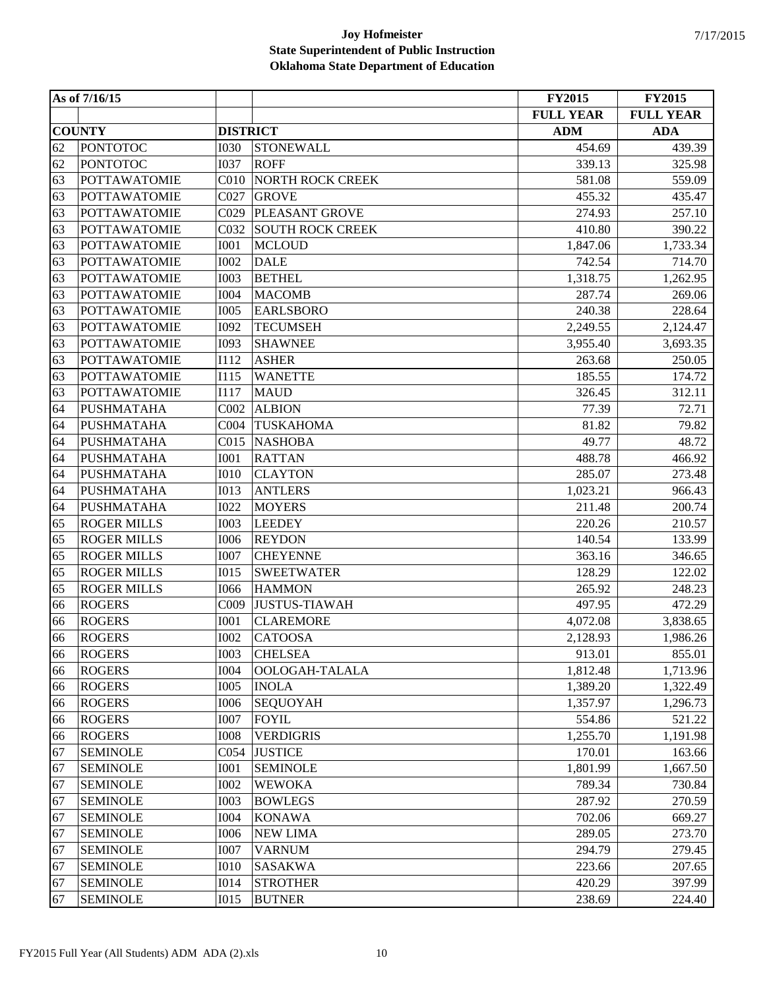|    | As of 7/16/15       |                  |                         | <b>FY2015</b>    | <b>FY2015</b>    |
|----|---------------------|------------------|-------------------------|------------------|------------------|
|    |                     |                  |                         | <b>FULL YEAR</b> | <b>FULL YEAR</b> |
|    | <b>COUNTY</b>       | <b>DISTRICT</b>  |                         | <b>ADM</b>       | <b>ADA</b>       |
| 62 | <b>PONTOTOC</b>     | <b>I030</b>      | <b>STONEWALL</b>        | 454.69           | 439.39           |
| 62 | <b>PONTOTOC</b>     | <b>I037</b>      | <b>ROFF</b>             | 339.13           | 325.98           |
| 63 | <b>POTTAWATOMIE</b> | C <sub>010</sub> | <b>NORTH ROCK CREEK</b> | 581.08           | 559.09           |
| 63 | <b>POTTAWATOMIE</b> | C027             | <b>GROVE</b>            | 455.32           | 435.47           |
| 63 | <b>POTTAWATOMIE</b> | C029             | PLEASANT GROVE          | 274.93           | 257.10           |
| 63 | <b>POTTAWATOMIE</b> | C032             | <b>SOUTH ROCK CREEK</b> | 410.80           | 390.22           |
| 63 | <b>POTTAWATOMIE</b> | <b>I001</b>      | <b>MCLOUD</b>           | 1,847.06         | 1,733.34         |
| 63 | <b>POTTAWATOMIE</b> | <b>I002</b>      | <b>DALE</b>             | 742.54           | 714.70           |
| 63 | <b>POTTAWATOMIE</b> | <b>I003</b>      | <b>BETHEL</b>           | 1,318.75         | 1,262.95         |
| 63 | <b>POTTAWATOMIE</b> | <b>I004</b>      | <b>MACOMB</b>           | 287.74           | 269.06           |
| 63 | <b>POTTAWATOMIE</b> | <b>I005</b>      | <b>EARLSBORO</b>        | 240.38           | 228.64           |
| 63 | <b>POTTAWATOMIE</b> | <b>I092</b>      | <b>TECUMSEH</b>         | 2,249.55         | 2,124.47         |
| 63 | <b>POTTAWATOMIE</b> | <b>I093</b>      | <b>SHAWNEE</b>          | 3,955.40         | 3,693.35         |
| 63 | <b>POTTAWATOMIE</b> | I112             | <b>ASHER</b>            | 263.68           | 250.05           |
| 63 | <b>POTTAWATOMIE</b> | I115             | <b>WANETTE</b>          | 185.55           | 174.72           |
| 63 | <b>POTTAWATOMIE</b> | I117             | <b>MAUD</b>             | 326.45           | 312.11           |
| 64 | <b>PUSHMATAHA</b>   | C002             | <b>ALBION</b>           | 77.39            | 72.71            |
| 64 | <b>PUSHMATAHA</b>   | CO <sub>04</sub> | <b>TUSKAHOMA</b>        | 81.82            | 79.82            |
| 64 | <b>PUSHMATAHA</b>   | CO15             | <b>NASHOBA</b>          | 49.77            | 48.72            |
| 64 | <b>PUSHMATAHA</b>   | <b>I001</b>      | <b>RATTAN</b>           | 488.78           | 466.92           |
| 64 | <b>PUSHMATAHA</b>   | <b>I010</b>      | <b>CLAYTON</b>          | 285.07           | 273.48           |
| 64 | <b>PUSHMATAHA</b>   | <b>I013</b>      | <b>ANTLERS</b>          | 1,023.21         | 966.43           |
| 64 | <b>PUSHMATAHA</b>   | <b>I022</b>      | <b>MOYERS</b>           | 211.48           | 200.74           |
| 65 | <b>ROGER MILLS</b>  | <b>I003</b>      | <b>LEEDEY</b>           | 220.26           | 210.57           |
| 65 | <b>ROGER MILLS</b>  | <b>I006</b>      | <b>REYDON</b>           | 140.54           | 133.99           |
| 65 | <b>ROGER MILLS</b>  | <b>I007</b>      | <b>CHEYENNE</b>         | 363.16           | 346.65           |
| 65 | <b>ROGER MILLS</b>  | <b>I015</b>      | <b>SWEETWATER</b>       | 128.29           | 122.02           |
| 65 | <b>ROGER MILLS</b>  | <b>I066</b>      | <b>HAMMON</b>           | 265.92           | 248.23           |
| 66 | <b>ROGERS</b>       | C009             | <b>JUSTUS-TIAWAH</b>    | 497.95           | 472.29           |
| 66 | <b>ROGERS</b>       | <b>I001</b>      | <b>CLAREMORE</b>        | 4,072.08         | 3,838.65         |
| 66 | <b>ROGERS</b>       | <b>I002</b>      | <b>CATOOSA</b>          | 2,128.93         | 1,986.26         |
| 66 | <b>ROGERS</b>       | <b>I003</b>      | <b>CHELSEA</b>          | 913.01           | 855.01           |
| 66 | <b>ROGERS</b>       | <b>I004</b>      | OOLOGAH-TALALA          | 1,812.48         | 1,713.96         |
| 66 | <b>ROGERS</b>       | <b>I005</b>      | <b>INOLA</b>            | 1,389.20         | 1,322.49         |
| 66 | <b>ROGERS</b>       | <b>I006</b>      | <b>SEQUOYAH</b>         | 1,357.97         | 1,296.73         |
| 66 | <b>ROGERS</b>       | <b>I007</b>      | <b>FOYIL</b>            | 554.86           | 521.22           |
| 66 | <b>ROGERS</b>       | <b>I008</b>      | <b>VERDIGRIS</b>        | 1,255.70         | 1,191.98         |
| 67 | <b>SEMINOLE</b>     | C054             | <b>JUSTICE</b>          | 170.01           | 163.66           |
| 67 | <b>SEMINOLE</b>     | I001             | <b>SEMINOLE</b>         | 1,801.99         | 1,667.50         |
| 67 | <b>SEMINOLE</b>     | <b>I002</b>      | <b>WEWOKA</b>           | 789.34           | 730.84           |
| 67 | <b>SEMINOLE</b>     | <b>I003</b>      | <b>BOWLEGS</b>          | 287.92           | 270.59           |
| 67 | <b>SEMINOLE</b>     | <b>I004</b>      | <b>KONAWA</b>           | 702.06           | 669.27           |
| 67 | <b>SEMINOLE</b>     | <b>I006</b>      | <b>NEW LIMA</b>         | 289.05           | 273.70           |
| 67 | <b>SEMINOLE</b>     | <b>I007</b>      | <b>VARNUM</b>           | 294.79           | 279.45           |
| 67 | <b>SEMINOLE</b>     | <b>I010</b>      | <b>SASAKWA</b>          | 223.66           | 207.65           |
| 67 | <b>SEMINOLE</b>     | <b>I014</b>      | <b>STROTHER</b>         | 420.29           | 397.99           |
| 67 | <b>SEMINOLE</b>     | I015             | <b>BUTNER</b>           | 238.69           | 224.40           |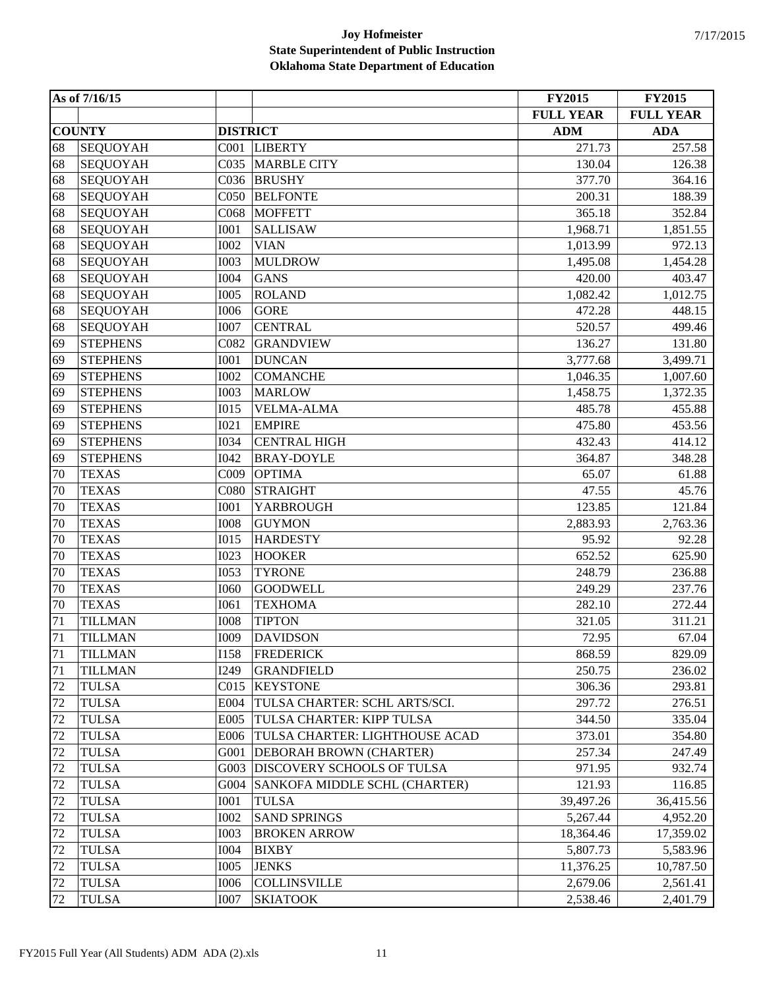|    | As of 7/16/15   |                  |                                | <b>FY2015</b>    | <b>FY2015</b>    |
|----|-----------------|------------------|--------------------------------|------------------|------------------|
|    |                 |                  |                                | <b>FULL YEAR</b> | <b>FULL YEAR</b> |
|    | <b>COUNTY</b>   | <b>DISTRICT</b>  |                                | <b>ADM</b>       | <b>ADA</b>       |
| 68 | <b>SEQUOYAH</b> | C <sub>001</sub> | <b>LIBERTY</b>                 | 271.73           | 257.58           |
| 68 | <b>SEQUOYAH</b> | C035             | <b>MARBLE CITY</b>             | 130.04           | 126.38           |
| 68 | <b>SEQUOYAH</b> | C036             | <b>BRUSHY</b>                  | 377.70           | 364.16           |
| 68 | <b>SEQUOYAH</b> | C <sub>050</sub> | <b>BELFONTE</b>                | 200.31           | 188.39           |
| 68 | <b>SEQUOYAH</b> | C068             | <b>MOFFETT</b>                 | 365.18           | 352.84           |
| 68 | <b>SEQUOYAH</b> | <b>I001</b>      | <b>SALLISAW</b>                | 1,968.71         | 1,851.55         |
| 68 | <b>SEQUOYAH</b> | <b>I002</b>      | <b>VIAN</b>                    | 1,013.99         | 972.13           |
| 68 | <b>SEQUOYAH</b> | <b>I003</b>      | <b>MULDROW</b>                 | 1,495.08         | 1,454.28         |
| 68 | <b>SEQUOYAH</b> | <b>I004</b>      | <b>GANS</b>                    | 420.00           | 403.47           |
| 68 | <b>SEQUOYAH</b> | <b>I005</b>      | <b>ROLAND</b>                  | 1,082.42         | 1,012.75         |
| 68 | <b>SEQUOYAH</b> | <b>I006</b>      | <b>GORE</b>                    | 472.28           | 448.15           |
| 68 | <b>SEQUOYAH</b> | <b>I007</b>      | <b>CENTRAL</b>                 | 520.57           | 499.46           |
| 69 | <b>STEPHENS</b> | C082             | <b>GRANDVIEW</b>               | 136.27           | 131.80           |
| 69 | <b>STEPHENS</b> | <b>I001</b>      | <b>DUNCAN</b>                  | 3,777.68         | 3,499.71         |
| 69 | <b>STEPHENS</b> | <b>I002</b>      | <b>COMANCHE</b>                | 1,046.35         | 1,007.60         |
| 69 | <b>STEPHENS</b> | <b>I003</b>      | <b>MARLOW</b>                  | 1,458.75         | 1,372.35         |
| 69 | <b>STEPHENS</b> | I015             | <b>VELMA-ALMA</b>              | 485.78           | 455.88           |
| 69 | <b>STEPHENS</b> | <b>I021</b>      | <b>EMPIRE</b>                  | 475.80           | 453.56           |
| 69 | <b>STEPHENS</b> | <b>I034</b>      | <b>CENTRAL HIGH</b>            | 432.43           | 414.12           |
| 69 | <b>STEPHENS</b> | I042             | <b>BRAY-DOYLE</b>              | 364.87           | 348.28           |
| 70 | <b>TEXAS</b>    | C009             | <b>OPTIMA</b>                  | 65.07            | 61.88            |
| 70 | <b>TEXAS</b>    | C080             | <b>STRAIGHT</b>                | 47.55            | 45.76            |
| 70 | <b>TEXAS</b>    | <b>I001</b>      | <b>YARBROUGH</b>               | 123.85           | 121.84           |
| 70 | <b>TEXAS</b>    | <b>I008</b>      | <b>GUYMON</b>                  | 2,883.93         | 2,763.36         |
| 70 | <b>TEXAS</b>    | I015             | <b>HARDESTY</b>                | 95.92            | 92.28            |
| 70 | <b>TEXAS</b>    | <b>I023</b>      | <b>HOOKER</b>                  | 652.52           | 625.90           |
| 70 | <b>TEXAS</b>    | <b>I053</b>      | <b>TYRONE</b>                  | 248.79           | 236.88           |
| 70 | <b>TEXAS</b>    | <b>I060</b>      | <b>GOODWELL</b>                | 249.29           | 237.76           |
| 70 | <b>TEXAS</b>    | I061             | <b>TEXHOMA</b>                 | 282.10           | 272.44           |
| 71 | <b>TILLMAN</b>  | <b>I008</b>      | <b>TIPTON</b>                  | 321.05           | 311.21           |
| 71 | <b>TILLMAN</b>  | I009             | <b>DAVIDSON</b>                | 72.95            | 67.04            |
| 71 | <b>TILLMAN</b>  | <b>I158</b>      | <b>FREDERICK</b>               | 868.59           | 829.09           |
| 71 | <b>TILLMAN</b>  | <b>I249</b>      | <b>GRANDFIELD</b>              | 250.75           | 236.02           |
| 72 | <b>TULSA</b>    | C <sub>015</sub> | <b>KEYSTONE</b>                | 306.36           | 293.81           |
| 72 | <b>TULSA</b>    | E004             | TULSA CHARTER: SCHL ARTS/SCI.  | 297.72           | 276.51           |
| 72 | <b>TULSA</b>    | E005             | TULSA CHARTER: KIPP TULSA      | 344.50           | 335.04           |
| 72 | <b>TULSA</b>    | E006             | TULSA CHARTER: LIGHTHOUSE ACAD | 373.01           | 354.80           |
| 72 | <b>TULSA</b>    | G001             | DEBORAH BROWN (CHARTER)        | 257.34           | 247.49           |
| 72 | <b>TULSA</b>    | G003             | DISCOVERY SCHOOLS OF TULSA     | 971.95           | 932.74           |
| 72 | <b>TULSA</b>    | G004             | SANKOFA MIDDLE SCHL (CHARTER)  | 121.93           | 116.85           |
| 72 | <b>TULSA</b>    | <b>I001</b>      | <b>TULSA</b>                   | 39,497.26        | 36,415.56        |
| 72 | <b>TULSA</b>    | <b>I002</b>      | <b>SAND SPRINGS</b>            | 5,267.44         | 4,952.20         |
| 72 | <b>TULSA</b>    | <b>I003</b>      | <b>BROKEN ARROW</b>            | 18,364.46        | 17,359.02        |
| 72 | <b>TULSA</b>    | <b>I004</b>      | <b>BIXBY</b>                   | 5,807.73         | 5,583.96         |
| 72 | <b>TULSA</b>    | <b>I005</b>      | <b>JENKS</b>                   | 11,376.25        | 10,787.50        |
| 72 | <b>TULSA</b>    | <b>I006</b>      | <b>COLLINSVILLE</b>            | 2,679.06         | 2,561.41         |
| 72 | <b>TULSA</b>    | <b>I007</b>      | <b>SKIATOOK</b>                | 2,538.46         | 2,401.79         |